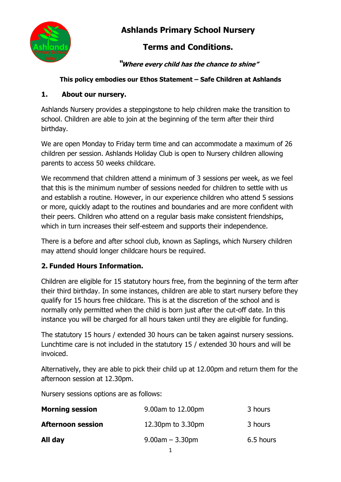

# **Ashlands Primary School Nursery**

# **Terms and Conditions.**

**"Where every child has the chance to shine"**

### **This policy embodies our Ethos Statement – Safe Children at Ashlands**

### **1. About our nursery.**

Ashlands Nursery provides a steppingstone to help children make the transition to school. Children are able to join at the beginning of the term after their third birthday.

We are open Monday to Friday term time and can accommodate a maximum of 26 children per session. Ashlands Holiday Club is open to Nursery children allowing parents to access 50 weeks childcare.

We recommend that children attend a minimum of 3 sessions per week, as we feel that this is the minimum number of sessions needed for children to settle with us and establish a routine. However, in our experience children who attend 5 sessions or more, quickly adapt to the routines and boundaries and are more confident with their peers. Children who attend on a regular basis make consistent friendships, which in turn increases their self-esteem and supports their independence.

There is a before and after school club, known as Saplings, which Nursery children may attend should longer childcare hours be required.

# **2. Funded Hours Information.**

Children are eligible for 15 statutory hours free, from the beginning of the term after their third birthday. In some instances, children are able to start nursery before they qualify for 15 hours free childcare. This is at the discretion of the school and is normally only permitted when the child is born just after the cut-off date. In this instance you will be charged for all hours taken until they are eligible for funding.

The statutory 15 hours / extended 30 hours can be taken against nursery sessions. Lunchtime care is not included in the statutory 15 / extended 30 hours and will be invoiced.

Alternatively, they are able to pick their child up at 12.00pm and return them for the afternoon session at 12.30pm.

Nursery sessions options are as follows:

| <b>Morning session</b>   | 9.00am to 12.00pm    | 3 hours   |
|--------------------------|----------------------|-----------|
| <b>Afternoon session</b> | 12.30pm to 3.30pm    | 3 hours   |
| All day                  | $9.00$ am $-3.30$ pm | 6.5 hours |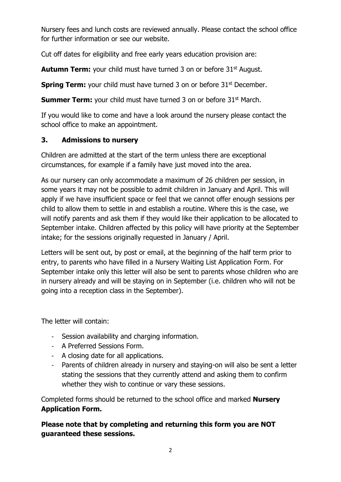Nursery fees and lunch costs are reviewed annually. Please contact the school office for further information or see our website.

Cut off dates for eligibility and free early years education provision are:

**Autumn Term:** your child must have turned 3 on or before 31<sup>st</sup> August.

**Spring Term:** your child must have turned 3 on or before 31<sup>st</sup> December.

**Summer Term:** your child must have turned 3 on or before 31<sup>st</sup> March.

If you would like to come and have a look around the nursery please contact the school office to make an appointment.

### **3. Admissions to nursery**

Children are admitted at the start of the term unless there are exceptional circumstances, for example if a family have just moved into the area.

As our nursery can only accommodate a maximum of 26 children per session, in some years it may not be possible to admit children in January and April. This will apply if we have insufficient space or feel that we cannot offer enough sessions per child to allow them to settle in and establish a routine. Where this is the case, we will notify parents and ask them if they would like their application to be allocated to September intake. Children affected by this policy will have priority at the September intake; for the sessions originally requested in January / April.

Letters will be sent out, by post or email, at the beginning of the half term prior to entry, to parents who have filled in a Nursery Waiting List Application Form. For September intake only this letter will also be sent to parents whose children who are in nursery already and will be staying on in September (i.e. children who will not be going into a reception class in the September).

The letter will contain:

- Session availability and charging information.
- A Preferred Sessions Form.
- A closing date for all applications.
- Parents of children already in nursery and staying-on will also be sent a letter stating the sessions that they currently attend and asking them to confirm whether they wish to continue or vary these sessions.

Completed forms should be returned to the school office and marked **Nursery Application Form.** 

**Please note that by completing and returning this form you are NOT guaranteed these sessions.**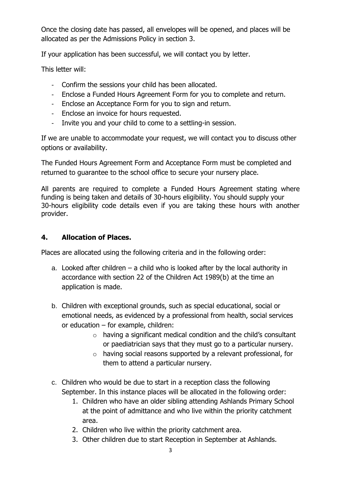Once the closing date has passed, all envelopes will be opened, and places will be allocated as per the Admissions Policy in section 3.

If your application has been successful, we will contact you by letter.

This letter will:

- Confirm the sessions your child has been allocated.
- Enclose a Funded Hours Agreement Form for you to complete and return.
- Enclose an Acceptance Form for you to sign and return.
- Enclose an invoice for hours requested.
- Invite you and your child to come to a settling-in session.

If we are unable to accommodate your request, we will contact you to discuss other options or availability.

The Funded Hours Agreement Form and Acceptance Form must be completed and returned to guarantee to the school office to secure your nursery place.

All parents are required to complete a Funded Hours Agreement stating where funding is being taken and details of 30-hours eligibility. You should supply your 30-hours eligibility code details even if you are taking these hours with another provider.

#### **4. Allocation of Places.**

Places are allocated using the following criteria and in the following order:

- a. Looked after children a child who is looked after by the local authority in accordance with section 22 of the Children Act 1989(b) at the time an application is made.
- b. Children with exceptional grounds, such as special educational, social or emotional needs, as evidenced by a professional from health, social services or education – for example, children:
	- o having a significant medical condition and the child's consultant or paediatrician says that they must go to a particular nursery.
	- o having social reasons supported by a relevant professional, for them to attend a particular nursery.
- c. Children who would be due to start in a reception class the following September. In this instance places will be allocated in the following order:
	- 1. Children who have an older sibling attending Ashlands Primary School at the point of admittance and who live within the priority catchment area.
	- 2. Children who live within the priority catchment area.
	- 3. Other children due to start Reception in September at Ashlands.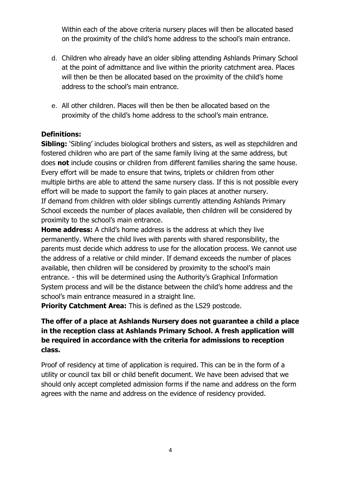Within each of the above criteria nursery places will then be allocated based on the proximity of the child's home address to the school's main entrance.

- d. Children who already have an older sibling attending Ashlands Primary School at the point of admittance and live within the priority catchment area. Places will then be then be allocated based on the proximity of the child's home address to the school's main entrance.
- e. All other children. Places will then be then be allocated based on the proximity of the child's home address to the school's main entrance.

#### **Definitions:**

**Sibling:** 'Sibling' includes biological brothers and sisters, as well as stepchildren and fostered children who are part of the same family living at the same address, but does **not** include cousins or children from different families sharing the same house. Every effort will be made to ensure that twins, triplets or children from other multiple births are able to attend the same nursery class. If this is not possible every effort will be made to support the family to gain places at another nursery. If demand from children with older siblings currently attending Ashlands Primary School exceeds the number of places available, then children will be considered by proximity to the school's main entrance.

**Home address:** A child's home address is the address at which they live permanently. Where the child lives with parents with shared responsibility, the parents must decide which address to use for the allocation process. We cannot use the address of a relative or child minder. If demand exceeds the number of places available, then children will be considered by proximity to the school's main entrance. - this will be determined using the Authority's Graphical Information System process and will be the distance between the child's home address and the school's main entrance measured in a straight line.

**Priority Catchment Area:** This is defined as the LS29 postcode.

### **The offer of a place at Ashlands Nursery does not guarantee a child a place in the reception class at Ashlands Primary School. A fresh application will be required in accordance with the criteria for admissions to reception class.**

Proof of residency at time of application is required. This can be in the form of a utility or council tax bill or child benefit document. We have been advised that we should only accept completed admission forms if the name and address on the form agrees with the name and address on the evidence of residency provided.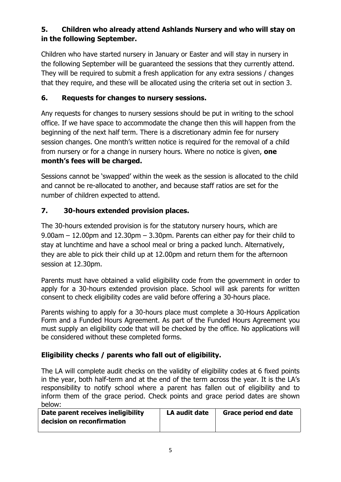# **5. Children who already attend Ashlands Nursery and who will stay on in the following September.**

Children who have started nursery in January or Easter and will stay in nursery in the following September will be guaranteed the sessions that they currently attend. They will be required to submit a fresh application for any extra sessions / changes that they require, and these will be allocated using the criteria set out in section 3.

#### **6. Requests for changes to nursery sessions.**

Any requests for changes to nursery sessions should be put in writing to the school office. If we have space to accommodate the change then this will happen from the beginning of the next half term. There is a discretionary admin fee for nursery session changes. One month's written notice is required for the removal of a child from nursery or for a change in nursery hours. Where no notice is given, **one month's fees will be charged.**

Sessions cannot be 'swapped' within the week as the session is allocated to the child and cannot be re-allocated to another, and because staff ratios are set for the number of children expected to attend.

### **7. 30-hours extended provision places.**

The 30-hours extended provision is for the statutory nursery hours, which are 9.00am – 12.00pm and 12.30pm – 3.30pm. Parents can either pay for their child to stay at lunchtime and have a school meal or bring a packed lunch. Alternatively, they are able to pick their child up at 12.00pm and return them for the afternoon session at 12.30pm.

Parents must have obtained a valid eligibility code from the government in order to apply for a 30-hours extended provision place. School will ask parents for written consent to check eligibility codes are valid before offering a 30-hours place.

Parents wishing to apply for a 30-hours place must complete a 30-Hours Application Form and a Funded Hours Agreement. As part of the Funded Hours Agreement you must supply an eligibility code that will be checked by the office. No applications will be considered without these completed forms.

### **Eligibility checks / parents who fall out of eligibility.**

The LA will complete audit checks on the validity of eligibility codes at 6 fixed points in the year, both half-term and at the end of the term across the year. It is the LA's responsibility to notify school where a parent has fallen out of eligibility and to inform them of the grace period. Check points and grace period dates are shown below:

| Date parent receives ineligibility | LA audit date | <b>Grace period end date</b> |
|------------------------------------|---------------|------------------------------|
| decision on reconfirmation         |               |                              |
|                                    |               |                              |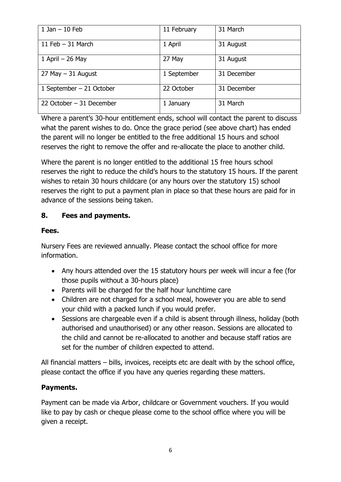| $1$ Jan $-10$ Feb         | 11 February | 31 March    |
|---------------------------|-------------|-------------|
| 11 Feb $-$ 31 March       | 1 April     | 31 August   |
| 1 April $-$ 26 May        | 27 May      | 31 August   |
| $27$ May $-31$ August     | 1 September | 31 December |
| 1 September $-21$ October | 22 October  | 31 December |
| 22 October - 31 December  | 1 January   | 31 March    |

Where a parent's 30-hour entitlement ends, school will contact the parent to discuss what the parent wishes to do. Once the grace period (see above chart) has ended the parent will no longer be entitled to the free additional 15 hours and school reserves the right to remove the offer and re-allocate the place to another child.

Where the parent is no longer entitled to the additional 15 free hours school reserves the right to reduce the child's hours to the statutory 15 hours. If the parent wishes to retain 30 hours childcare (or any hours over the statutory 15) school reserves the right to put a payment plan in place so that these hours are paid for in advance of the sessions being taken.

#### **8. Fees and payments.**

#### **Fees.**

Nursery Fees are reviewed annually. Please contact the school office for more information.

- Any hours attended over the 15 statutory hours per week will incur a fee (for those pupils without a 30-hours place)
- Parents will be charged for the half hour lunchtime care
- Children are not charged for a school meal, however you are able to send your child with a packed lunch if you would prefer.
- Sessions are chargeable even if a child is absent through illness, holiday (both authorised and unauthorised) or any other reason. Sessions are allocated to the child and cannot be re-allocated to another and because staff ratios are set for the number of children expected to attend.

All financial matters – bills, invoices, receipts etc are dealt with by the school office, please contact the office if you have any queries regarding these matters.

### **Payments.**

Payment can be made via Arbor, childcare or Government vouchers. If you would like to pay by cash or cheque please come to the school office where you will be given a receipt.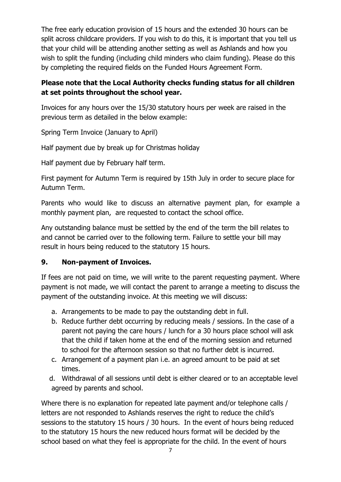The free early education provision of 15 hours and the extended 30 hours can be split across childcare providers. If you wish to do this, it is important that you tell us that your child will be attending another setting as well as Ashlands and how you wish to split the funding (including child minders who claim funding). Please do this by completing the required fields on the Funded Hours Agreement Form.

#### **Please note that the Local Authority checks funding status for all children at set points throughout the school year.**

Invoices for any hours over the 15/30 statutory hours per week are raised in the previous term as detailed in the below example:

Spring Term Invoice (January to April)

Half payment due by break up for Christmas holiday

Half payment due by February half term.

First payment for Autumn Term is required by 15th July in order to secure place for Autumn Term.

Parents who would like to discuss an alternative payment plan, for example a monthly payment plan, are requested to contact the school office.

Any outstanding balance must be settled by the end of the term the bill relates to and cannot be carried over to the following term. Failure to settle your bill may result in hours being reduced to the statutory 15 hours.

### **9. Non-payment of Invoices.**

If fees are not paid on time, we will write to the parent requesting payment. Where payment is not made, we will contact the parent to arrange a meeting to discuss the payment of the outstanding invoice. At this meeting we will discuss:

- a. Arrangements to be made to pay the outstanding debt in full.
- b. Reduce further debt occurring by reducing meals / sessions. In the case of a parent not paying the care hours / lunch for a 30 hours place school will ask that the child if taken home at the end of the morning session and returned to school for the afternoon session so that no further debt is incurred.
- c. Arrangement of a payment plan i.e. an agreed amount to be paid at set times.
- d. Withdrawal of all sessions until debt is either cleared or to an acceptable level agreed by parents and school.

Where there is no explanation for repeated late payment and/or telephone calls / letters are not responded to Ashlands reserves the right to reduce the child's sessions to the statutory 15 hours / 30 hours. In the event of hours being reduced to the statutory 15 hours the new reduced hours format will be decided by the school based on what they feel is appropriate for the child. In the event of hours